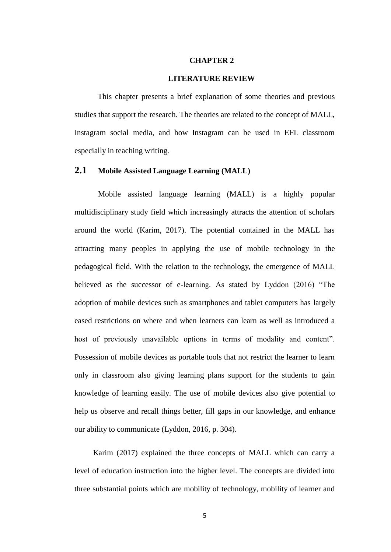### **CHAPTER 2**

## **LITERATURE REVIEW**

This chapter presents a brief explanation of some theories and previous studies that support the research. The theories are related to the concept of MALL, Instagram social media, and how Instagram can be used in EFL classroom especially in teaching writing.

# **2.1 Mobile Assisted Language Learning (MALL)**

Mobile assisted language learning (MALL) is a highly popular multidisciplinary study field which increasingly attracts the attention of scholars around the world (Karim, 2017). The potential contained in the MALL has attracting many peoples in applying the use of mobile technology in the pedagogical field. With the relation to the technology, the emergence of MALL believed as the successor of e-learning. As stated by Lyddon (2016) "The adoption of mobile devices such as smartphones and tablet computers has largely eased restrictions on where and when learners can learn as well as introduced a host of previously unavailable options in terms of modality and content". Possession of mobile devices as portable tools that not restrict the learner to learn only in classroom also giving learning plans support for the students to gain knowledge of learning easily. The use of mobile devices also give potential to help us observe and recall things better, fill gaps in our knowledge, and enhance our ability to communicate (Lyddon, 2016, p. 304).

Karim (2017) explained the three concepts of MALL which can carry a level of education instruction into the higher level. The concepts are divided into three substantial points which are mobility of technology, mobility of learner and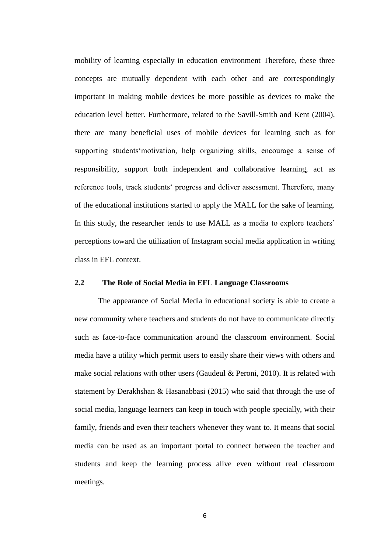mobility of learning especially in education environment Therefore, these three concepts are mutually dependent with each other and are correspondingly important in making mobile devices be more possible as devices to make the education level better. Furthermore, related to the Savill-Smith and Kent (2004), there are many beneficial uses of mobile devices for learning such as for supporting students'motivation, help organizing skills, encourage a sense of responsibility, support both independent and collaborative learning, act as reference tools, track students' progress and deliver assessment. Therefore, many of the educational institutions started to apply the MALL for the sake of learning. In this study, the researcher tends to use MALL as a media to explore teachers' perceptions toward the utilization of Instagram social media application in writing class in EFL context.

## **2.2 The Role of Social Media in EFL Language Classrooms**

The appearance of Social Media in educational society is able to create a new community where teachers and students do not have to communicate directly such as face-to-face communication around the classroom environment. Social media have a utility which permit users to easily share their views with others and make social relations with other users (Gaudeul & Peroni, 2010). It is related with statement by Derakhshan & Hasanabbasi (2015) who said that through the use of social media, language learners can keep in touch with people specially, with their family, friends and even their teachers whenever they want to. It means that social media can be used as an important portal to connect between the teacher and students and keep the learning process alive even without real classroom meetings.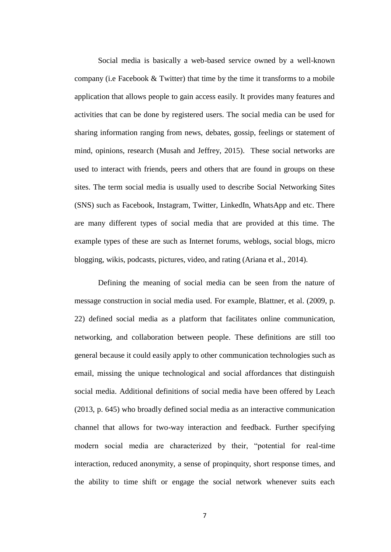Social media is basically a web-based service owned by a well-known company (i.e Facebook  $&$  Twitter) that time by the time it transforms to a mobile application that allows people to gain access easily. It provides many features and activities that can be done by registered users. The social media can be used for sharing information ranging from news, debates, gossip, feelings or statement of mind, opinions, research (Musah and Jeffrey, 2015). These social networks are used to interact with friends, peers and others that are found in groups on these sites. The term social media is usually used to describe Social Networking Sites (SNS) such as Facebook, Instagram, Twitter, LinkedIn, WhatsApp and etc. There are many different types of social media that are provided at this time. The example types of these are such as Internet forums, weblogs, social blogs, micro blogging, wikis, podcasts, pictures, video, and rating (Ariana et al., 2014).

Defining the meaning of social media can be seen from the nature of message construction in social media used. For example, Blattner, et al. (2009, p. 22) defined social media as a platform that facilitates online communication, networking, and collaboration between people. These definitions are still too general because it could easily apply to other communication technologies such as email, missing the unique technological and social affordances that distinguish social media. Additional definitions of social media have been offered by Leach (2013, p. 645) who broadly defined social media as an interactive communication channel that allows for two-way interaction and feedback. Further specifying modern social media are characterized by their, "potential for real-time interaction, reduced anonymity, a sense of propinquity, short response times, and the ability to time shift or engage the social network whenever suits each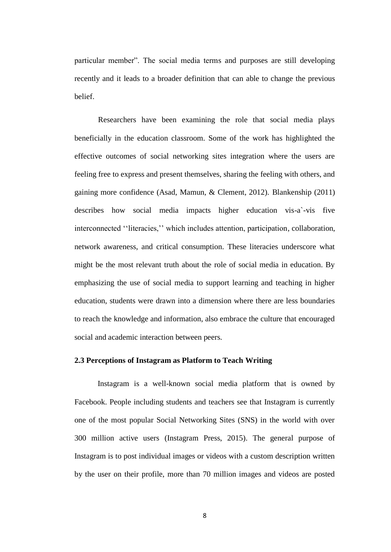particular member". The social media terms and purposes are still developing recently and it leads to a broader definition that can able to change the previous belief.

Researchers have been examining the role that social media plays beneficially in the education classroom. Some of the work has highlighted the effective outcomes of social networking sites integration where the users are feeling free to express and present themselves, sharing the feeling with others, and gaining more confidence (Asad, Mamun, & Clement, 2012). Blankenship (2011) describes how social media impacts higher education vis-a`-vis five interconnected ''literacies,'' which includes attention, participation, collaboration, network awareness, and critical consumption. These literacies underscore what might be the most relevant truth about the role of social media in education. By emphasizing the use of social media to support learning and teaching in higher education, students were drawn into a dimension where there are less boundaries to reach the knowledge and information, also embrace the culture that encouraged social and academic interaction between peers.

#### **2.3 Perceptions of Instagram as Platform to Teach Writing**

Instagram is a well-known social media platform that is owned by Facebook. People including students and teachers see that Instagram is currently one of the most popular Social Networking Sites (SNS) in the world with over 300 million active users (Instagram Press, 2015). The general purpose of Instagram is to post individual images or videos with a custom description written by the user on their profile, more than 70 million images and videos are posted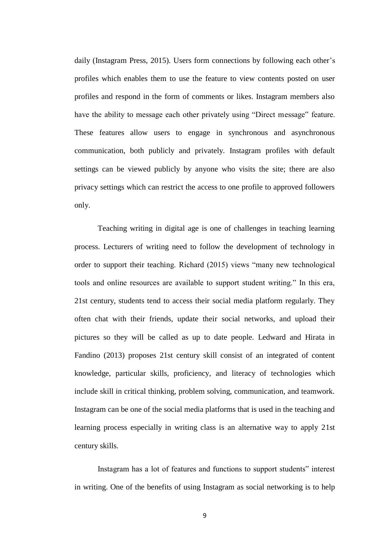daily (Instagram Press, 2015). Users form connections by following each other's profiles which enables them to use the feature to view contents posted on user profiles and respond in the form of comments or likes. Instagram members also have the ability to message each other privately using "Direct message" feature. These features allow users to engage in synchronous and asynchronous communication, both publicly and privately. Instagram profiles with default settings can be viewed publicly by anyone who visits the site; there are also privacy settings which can restrict the access to one profile to approved followers only.

Teaching writing in digital age is one of challenges in teaching learning process. Lecturers of writing need to follow the development of technology in order to support their teaching. Richard (2015) views "many new technological tools and online resources are available to support student writing." In this era, 21st century, students tend to access their social media platform regularly. They often chat with their friends, update their social networks, and upload their pictures so they will be called as up to date people. Ledward and Hirata in Fandino (2013) proposes 21st century skill consist of an integrated of content knowledge, particular skills, proficiency, and literacy of technologies which include skill in critical thinking, problem solving, communication, and teamwork. Instagram can be one of the social media platforms that is used in the teaching and learning process especially in writing class is an alternative way to apply 21st century skills.

Instagram has a lot of features and functions to support students" interest in writing. One of the benefits of using Instagram as social networking is to help